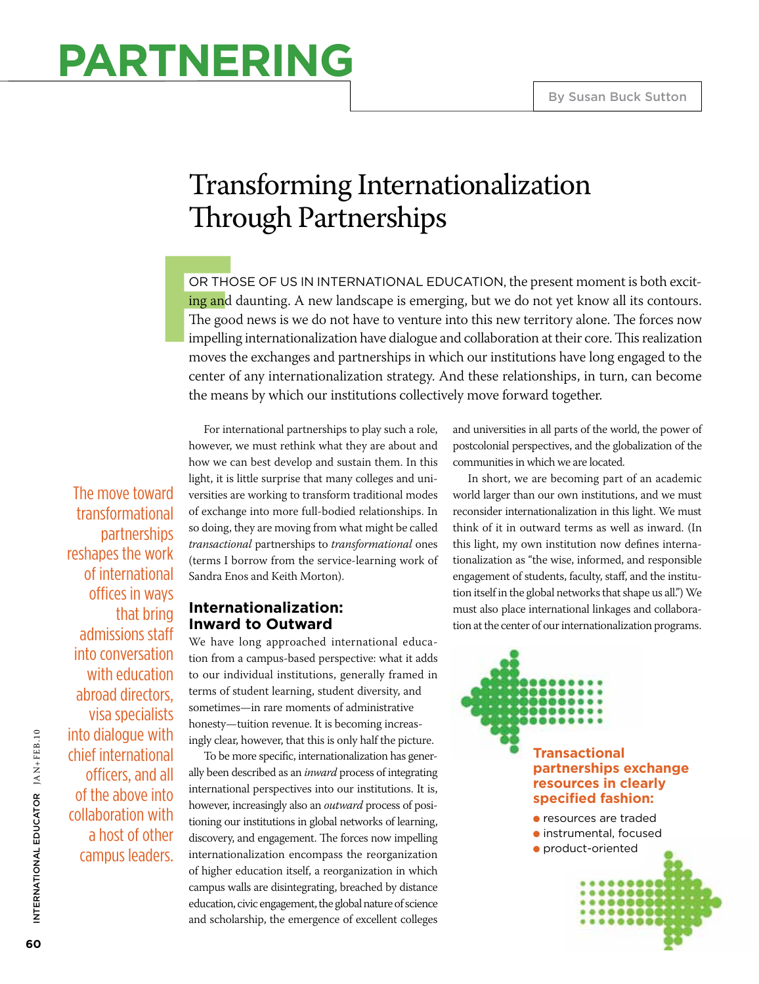## **Partnering**

## Transforming Internationalization Through Partnerships

**F** OR THOSE OF US IN INTERNATIONAL EDUCATION, the present moment is both exciting and daunting. A new landscape is emerging, but we do not yet know all its contours. The good news is we do not have to venture into this new territory alone. The forces now impelling internationalization have dialogue and collaboration at their core. This realization moves the exchanges and partnerships in which our institutions have long engaged to the center of any internationalization strategy. And these relationships, in turn, can become the means by which our institutions collectively move forward together.

The move toward transformational partnerships reshapes the work of international offices in ways that bring admissions staff into conversation with education abroad directors, visa specialists into dialogue with chief international officers, and all of the above into collaboration with a host of other campus leaders.

For international partnerships to play such a role, however, we must rethink what they are about and how we can best develop and sustain them. In this light, it is little surprise that many colleges and universities are working to transform traditional modes of exchange into more full-bodied relationships. In so doing, they are moving from what might be called *transactional* partnerships to *transformational* ones (terms I borrow from the service-learning work of Sandra Enos and Keith Morton).

#### **Internationalization: Inward to Outward**

We have long approached international education from a campus-based perspective: what it adds to our individual institutions, generally framed in terms of student learning, student diversity, and sometimes—in rare moments of administrative honesty—tuition revenue. It is becoming increasingly clear, however, that this is only half the picture.

To be more specific, internationalization has generally been described as an *inward* process of integrating international perspectives into our institutions. It is, however, increasingly also an *outward* process of positioning our institutions in global networks of learning, discovery, and engagement. The forces now impelling internationalization encompass the reorganization of higher education itself, a reorganization in which campus walls are disintegrating, breached by distance education, civic engagement, the global nature of science and scholarship, the emergence of excellent colleges

and universities in all parts of the world, the power of postcolonial perspectives, and the globalization of the communities in which we are located.

In short, we are becoming part of an academic world larger than our own institutions, and we must reconsider internationalization in this light. We must think of it in outward terms as well as inward. (In this light, my own institution now defines internationalization as "the wise, informed, and responsible engagement of students, faculty, staff, and the institution itself in the global networks that shape us all.") We must also place international linkages and collaboration at the center of our internationalization programs.

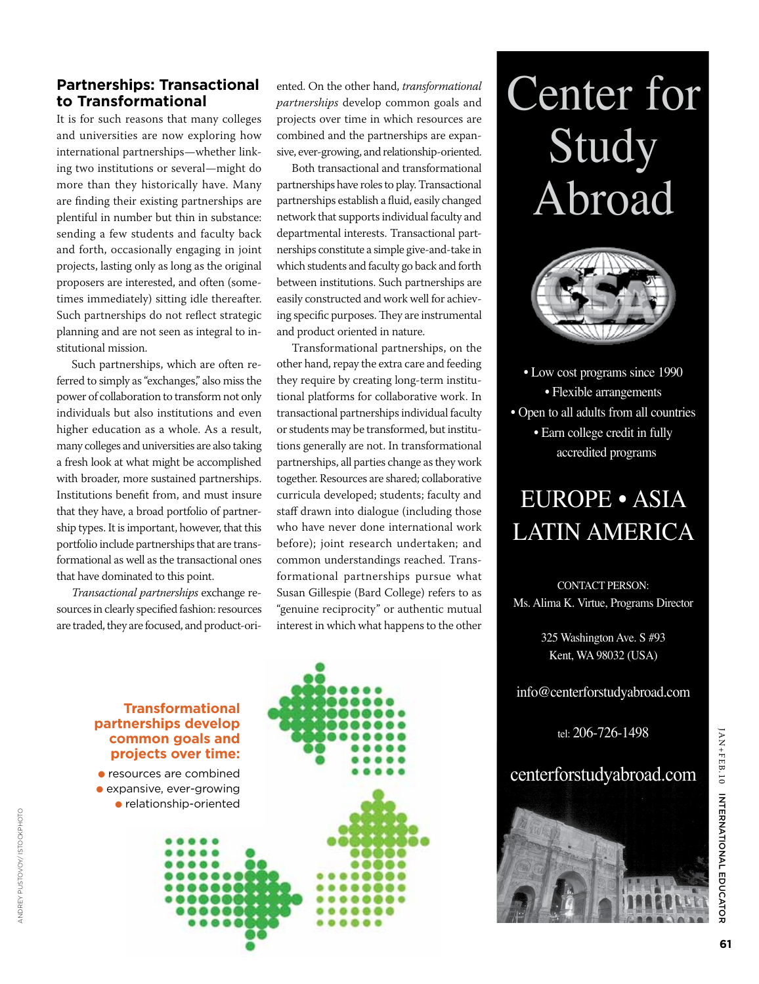#### **Partnerships: Transactional to Transformational**

It is for such reasons that many colleges and universities are now exploring how international partnerships—whether linking two institutions or several—might do more than they historically have. Many are finding their existing partnerships are plentiful in number but thin in substance: sending a few students and faculty back and forth, occasionally engaging in joint projects, lasting only as long as the original proposers are interested, and often (sometimes immediately) sitting idle thereafter. Such partnerships do not reflect strategic planning and are not seen as integral to institutional mission.

Such partnerships, which are often referred to simply as "exchanges," also miss the power of collaboration to transform not only individuals but also institutions and even higher education as a whole. As a result, many colleges and universities are also taking a fresh look at what might be accomplished with broader, more sustained partnerships. Institutions benefit from, and must insure that they have, a broad portfolio of partnership types. It is important, however, that this portfolio include partnerships that are transformational as well as the transactional ones that have dominated to this point.

*Transactional partnerships* exchange resources in clearly specified fashion: resources are traded, they are focused, and product-oriented. On the other hand, *transformational partnerships* develop common goals and projects over time in which resources are combined and the partnerships are expansive, ever-growing, and relationship-oriented.

Both transactional and transformational partnerships have roles to play. Transactional partnerships establish a fluid, easily changed network that supports individual faculty and departmental interests. Transactional partnerships constitute a simple give-and-take in which students and faculty go back and forth between institutions. Such partnerships are easily constructed and work well for achieving specific purposes. They are instrumental and product oriented in nature.

Transformational partnerships, on the other hand, repay the extra care and feeding they require by creating long-term institutional platforms for collaborative work. In transactional partnerships individual faculty or students may be transformed, but institutions generally are not. In transformational partnerships, all parties change as they work together. Resources are shared; collaborative curricula developed; students; faculty and staff drawn into dialogue (including those who have never done international work before); joint research undertaken; and common understandings reached. Transformational partnerships pursue what Susan Gillespie (Bard College) refers to as "genuine reciprocity" or authentic mutual interest in which what happens to the other



# Center for Study Abroad



• Low cost programs since 1990 • Flexible arrangements • Open to all adults from all countries • Earn college credit in fully accredited programs

### EUROPE • ASIA LATIN AMERICA

CONTACT PERSON: Ms. Alima K. Virtue, Programs Director

> 325 Washington Ave. S #93 Kent, WA 98032 (USA)

info@centerforstudyabroad.com

tel: 206-726-1498

centerforstudyabroad.com

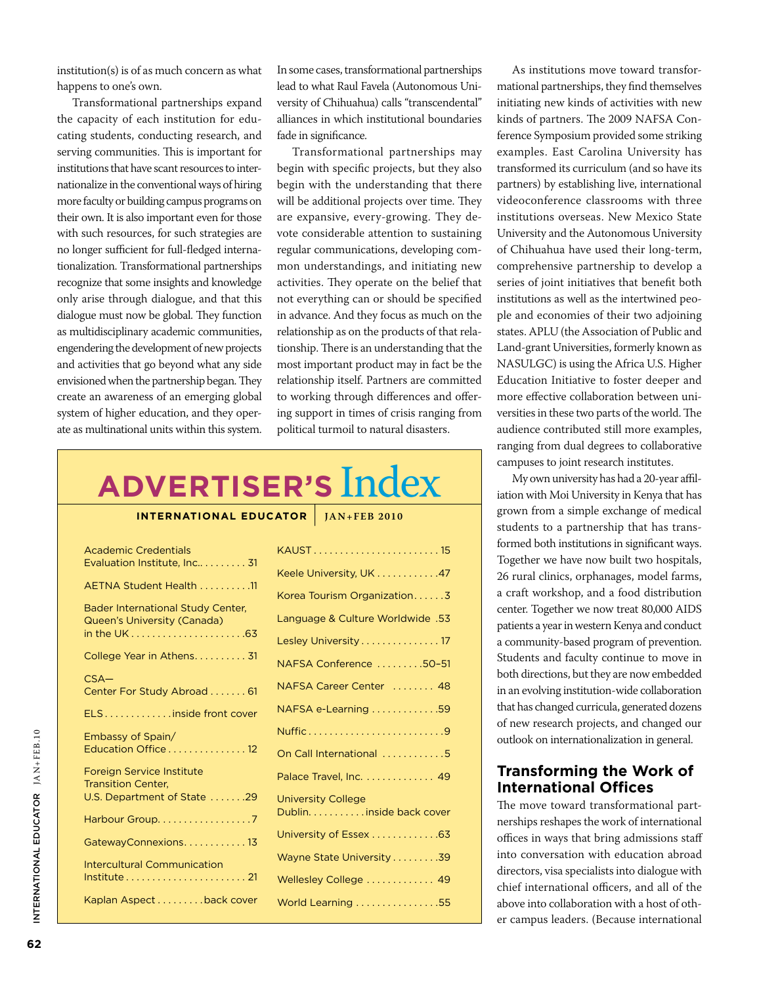institution(s) is of as much concern as what happens to one's own.

Transformational partnerships expand the capacity of each institution for educating students, conducting research, and serving communities. This is important for institutions that have scant resources to internationalize in the conventional ways of hiring more faculty or building campus programs on their own. It is also important even for those with such resources, for such strategies are no longer sufficient for full-fledged internationalization. Transformational partnerships recognize that some insights and knowledge only arise through dialogue, and that this dialogue must now be global. They function as multidisciplinary academic communities, engendering the development of new projects and activities that go beyond what any side envisioned when the partnership began. They create an awareness of an emerging global system of higher education, and they operate as multinational units within this system. In some cases, transformational partnerships lead to what Raul Favela (Autonomous University of Chihuahua) calls "transcendental" alliances in which institutional boundaries fade in significance.

Transformational partnerships may begin with specific projects, but they also begin with the understanding that there will be additional projects over time. They are expansive, every-growing. They devote considerable attention to sustaining regular communications, developing common understandings, and initiating new activities. They operate on the belief that not everything can or should be specified in advance. And they focus as much on the relationship as on the products of that relationship. There is an understanding that the most important product may in fact be the relationship itself. Partners are committed to working through differences and offering support in times of crisis ranging from political turmoil to natural disasters.

## **Advertiser's** Index

#### **INTERNATIONAL EDUCATOR** | **JAN+FEB** 2010

| Academic Credentials<br>Evaluation Institute, Inc 31                    | <b>KAUS</b>    |
|-------------------------------------------------------------------------|----------------|
| AETNA Student Health 11                                                 | Keele          |
| <b>Bader International Study Center,</b><br>Queen's University (Canada) | Korea<br>Lang  |
|                                                                         | Lesle          |
| College Year in Athens 31                                               | <b>NAFS</b>    |
| $CSA-$<br>Center For Study Abroad  61                                   | <b>NAFS</b>    |
| ELSinside front cover                                                   | <b>NAFS</b>    |
| Embassy of Spain/                                                       | Nuffi          |
| Education Office 12                                                     | On C           |
| <b>Foreign Service Institute</b><br><b>Transition Center,</b>           | Palac          |
| U.S. Department of State 29                                             | Unive<br>Dubli |
| Harbour Group. 7                                                        |                |
| GatewayConnexions13                                                     | Unive          |
| <b>Intercultural Communication</b>                                      | Wayr           |
|                                                                         | Welle          |
| Kaplan Aspect back cover                                                | Work           |

As institutions move toward transformational partnerships, they find themselves initiating new kinds of activities with new kinds of partners. The 2009 NAFSA Conference Symposium provided some striking examples. East Carolina University has transformed its curriculum (and so have its partners) by establishing live, international videoconference classrooms with three institutions overseas. New Mexico State University and the Autonomous University of Chihuahua have used their long-term, comprehensive partnership to develop a series of joint initiatives that benefit both institutions as well as the intertwined people and economies of their two adjoining states. APLU (the Association of Public and Land-grant Universities, formerly known as NASULGC) is using the Africa U.S. Higher Education Initiative to foster deeper and more effective collaboration between universities in these two parts of the world. The audience contributed still more examples, ranging from dual degrees to collaborative campuses to joint research institutes.

My own university has had a 20-year affiliation with Moi University in Kenya that has grown from a simple exchange of medical students to a partnership that has transformed both institutions in significant ways. Together we have now built two hospitals, 26 rural clinics, orphanages, model farms, a craft workshop, and a food distribution center. Together we now treat 80,000 AIDS patients a year in western Kenya and conduct a community-based program of prevention. Students and faculty continue to move in both directions, but they are now embedded in an evolving institution-wide collaboration that has changed curricula, generated dozens of new research projects, and changed our outlook on internationalization in general.

#### **Transforming the Work of International Offices**

The move toward transformational partnerships reshapes the work of international offices in ways that bring admissions staff into conversation with education abroad directors, visa specialists into dialogue with chief international officers, and all of the above into collaboration with a host of other campus leaders. (Because international